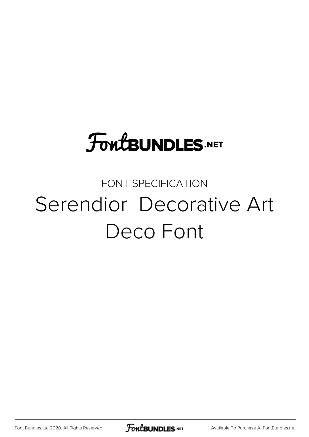### **FoutBUNDLES.NET**

#### FONT SPECIFICATION Serendior Decorative Art Deco Font

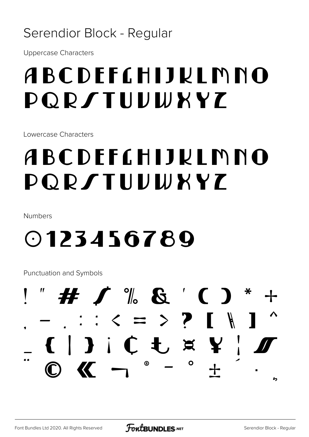#### Serendior Block - Regular

**Uppercase Characters** 

### ABCDEFCHIJKLMNO **DORSTUUWXYZ**

Lowercase Characters

### ABCDEFCHIJKLMNO **PORSTUUWXYZ**

Numbers

### 0123456789

Punctuation and Symbols

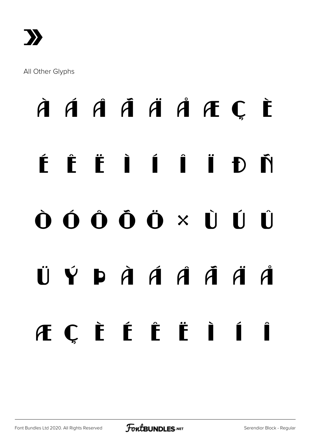

All Other Glyphs

## À Á Â Ã Ä Å Æ Ç È É Ê Ë Ì Í Î Ï Ð Ñ Ò Ó Ô Õ Ö × Ù Ú Û  $\ddot{\mathbf{U}}$   $\dot{\mathbf{Y}}$   $\dot{\mathbf{D}}$   $\dot{\mathbf{A}}$   $\dot{\mathbf{A}}$   $\dot{\mathbf{A}}$   $\ddot{\mathbf{A}}$   $\ddot{\mathbf{A}}$   $\ddot{\mathbf{A}}$   $\ddot{\mathbf{A}}$ æ ç è é ê ë ì í î

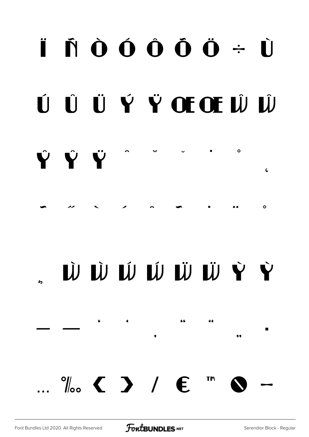### $\ddot{\mathbf{I}}$   $\dot{\mathbf{N}}$   $\dot{\mathbf{O}}$   $\dot{\mathbf{O}}$   $\dot{\mathbf{O}}$   $\dot{\mathbf{O}}$   $\dot{\mathbf{O}}$   $\dot{\mathbf{O}}$   $\dot{\mathbf{O}}$   $\dot{\mathbf{O}}$   $\dot{\mathbf{O}}$ ÚŨÜÝŸŒŒŴŴ  $\circ$ ŶŶŸ  $\epsilon$

 $\circ$ 

### Ù Ù Ú Ú W Ü Ü Y Y

66



 $\bullet$ 

11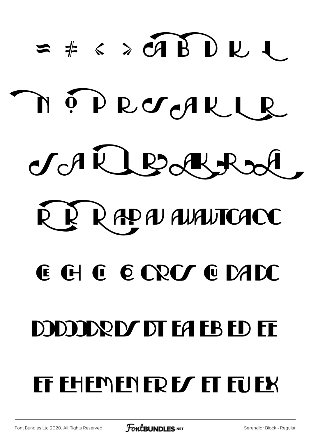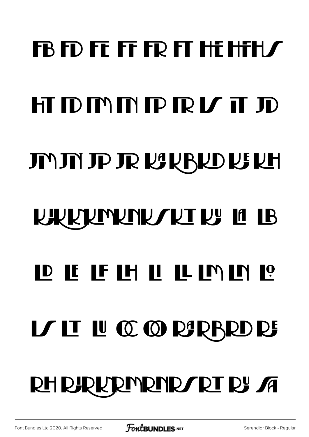# $\bf{FB}$  FD FE FF FR FT HE HFH  $\bm{f}$ HIDMMPRL ID JUJU JA JE RAKARIO NE KH **KIKKIRINING KATIB** DEFIHILIMNI LE LU CC CO PARISPO DE RH BJRKRINRINRA RJ VU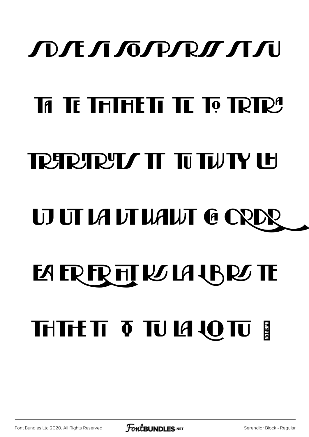### ЛОЛЕ Л ГОГРЛОГ Л ГИ

### TA TE THIHETI TE TO TRTR<sup>A</sup>

### TRETRETT TUTUTY LE

## **UJ UT LA LT LIALIT G CRI**

## **EA ER FR FIT RS LA 4BRS TE THTTE TT TT TT LA LOTT FILL**

[Font Bundles Ltd 2020. All Rights Reserved](https://fontbundles.net/) **FoutBUNDLES.NET** [Serendior Block - Regular](https://fontbundles.net/)

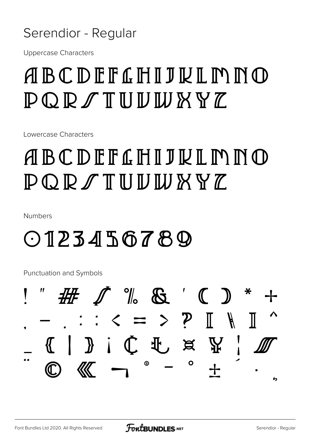#### Serendior - Regular

**Uppercase Characters** 

### ABCDEFGHIJNIMMO  $P$  Q R  $\mathcal I$  T U U W X Y  $\mathcal I$

Lowercase Characters

### ABCDEFGHIJKLMNO  $\mathbb{P} \mathbb{O} \mathbb{P} \mathbb{Z} \mathbb{T} \mathbb{U} \mathbb{U} \mathbb{W} \mathbb{W} \mathbb{Y} \mathbb{Z}$

Numbers

### $OIPZJHS678Q$

Punctuation and Symbols

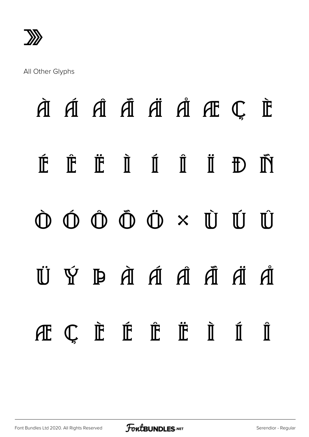»

All Other Glyphs

## À Á Â Ã Ä Å Æ Ç È É Ê Ë Ì Í Î Ï Ð Ñ Ò Ó Ô Õ Ö × Ù Ú Û ti Ý Þ à á á á ă ä á æ ç è é ê ë ì í î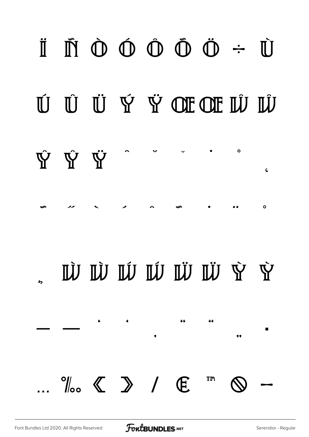### $\begin{array}{ccccccccccccccccc} \parallel & \mathbb{M} & \mathbb{O} & \mathbb{O} & \mathbb{O} & \mathbb{O} & \mathbb{O} & \mathbb{O} & \mathbb{O} & \rightarrow & \mathbb{O} \end{array}$ Ú Ú Ú Ý Ý OF OF IÛ IÛ  $\circ$ ŸΫ́ΨŶ  $\zeta$  $\circ$ W W W W W W Y Y 66 44  $\%$   $\left\langle \right.$   $\right\rangle$  /  $\left. \right.$   $\left. \right\langle \right.$ ΤM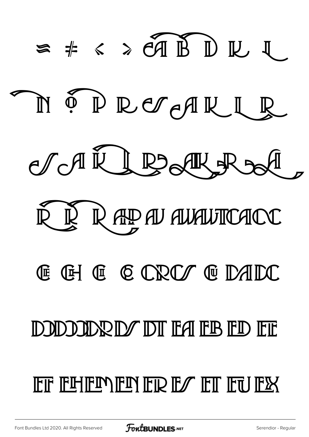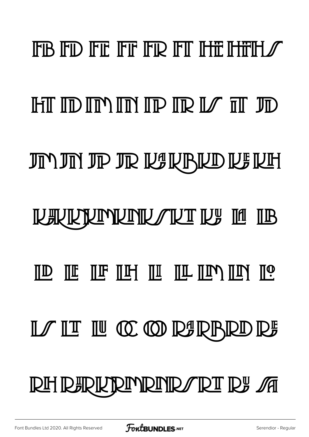# FIB FID FIE FIF FIR FIT THE THEIH  $\mathscr T$ HT ID IM IM IP IR IZ IT JD JN JN JP JR KURKD KUH **NAYKRIMUNIVAKI IN IU IB** ΠΟ ΠΕ ΠΕ ΠΕ ΠΗ ΠΙ ΠΕ ΠΙΝ ΠΟ ΠΟ LA II II CO CO RARRID RA **RH RERKRIMRIND/RI RE M**